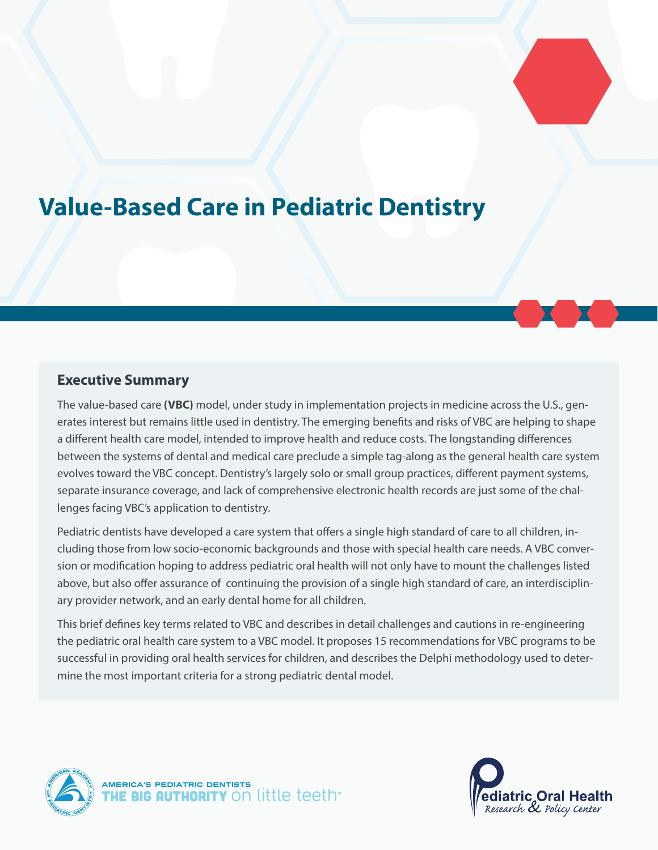# **Value-Based Care in Pediatric Dentistry**

# **Executive Summary**

The value-based care **(VBC)** model, under study in implementation projects in medicine across the U.S., generates interest but remains little used in dentistry. The emerging benefits and risks of VBC are helping to shape a different health care model, intended to improve health and reduce costs. The longstanding differences between the systems of dental and medical care preclude a simple tag-along as the general health care system evolves toward the VBC concept. Dentistry's largely solo or small group practices, different payment systems, separate insurance coverage, and lack of comprehensive electronic health records are just some of the challenges facing VBC's application to dentistry.

Pediatric dentists have developed a care system that offers a single high standard of care to all children, including those from low socio-economic backgrounds and those with special health care needs. A VBC conversion or modification hoping to address pediatric oral health will not only have to mount the challenges listed above, but also offer assurance of continuing the provision of a single high standard of care, an interdisciplinary provider network, and an early dental home for all children.

This brief defines key terms related to VBC and describes in detail challenges and cautions in re-engineering the pediatric oral health care system to a VBC model. It proposes 15 recommendations for VBC programs to be successful in providing oral health services for children, and describes the Delphi methodology used to determine the most important criteria for a strong pediatric dental model.



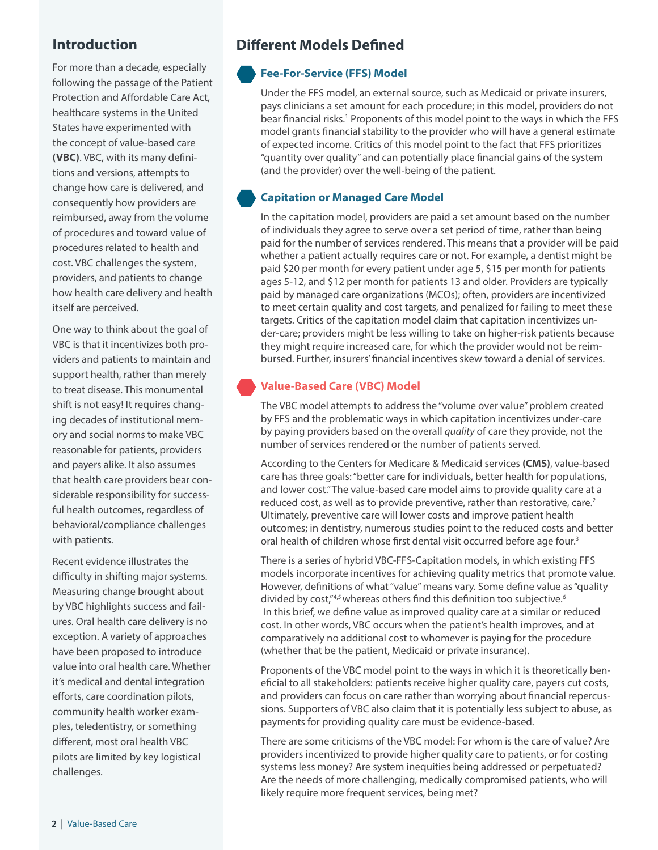# **Introduction**

For more than a decade, especially following the passage of the Patient Protection and Affordable Care Act, healthcare systems in the United States have experimented with the concept of value-based care **(VBC)**. VBC, with its many definitions and versions, attempts to change how care is delivered, and consequently how providers are reimbursed, away from the volume of procedures and toward value of procedures related to health and cost. VBC challenges the system, providers, and patients to change how health care delivery and health itself are perceived.

One way to think about the goal of VBC is that it incentivizes both providers and patients to maintain and support health, rather than merely to treat disease. This monumental shift is not easy! It requires changing decades of institutional memory and social norms to make VBC reasonable for patients, providers and payers alike. It also assumes that health care providers bear considerable responsibility for successful health outcomes, regardless of behavioral/compliance challenges with patients.

Recent evidence illustrates the difficulty in shifting major systems. Measuring change brought about by VBC highlights success and failures. Oral health care delivery is no exception. A variety of approaches have been proposed to introduce value into oral health care. Whether it's medical and dental integration efforts, care coordination pilots, community health worker examples, teledentistry, or something different, most oral health VBC pilots are limited by key logistical challenges.

# **Different Models Defined**

# **Fee-For-Service (FFS) Model**

Under the FFS model, an external source, such as Medicaid or private insurers, pays clinicians a set amount for each procedure; in this model, providers do not bear financial risks.<sup>1</sup> Proponents of this model point to the ways in which the FFS model grants financial stability to the provider who will have a general estimate of expected income. Critics of this model point to the fact that FFS prioritizes "quantity over quality" and can potentially place financial gains of the system (and the provider) over the well-being of the patient.

## **Capitation or Managed Care Model**

In the capitation model, providers are paid a set amount based on the number of individuals they agree to serve over a set period of time, rather than being paid for the number of services rendered. This means that a provider will be paid whether a patient actually requires care or not. For example, a dentist might be paid \$20 per month for every patient under age 5, \$15 per month for patients ages 5-12, and \$12 per month for patients 13 and older. Providers are typically paid by managed care organizations (MCOs); often, providers are incentivized to meet certain quality and cost targets, and penalized for failing to meet these targets. Critics of the capitation model claim that capitation incentivizes under-care; providers might be less willing to take on higher-risk patients because they might require increased care, for which the provider would not be reimbursed. Further, insurers' financial incentives skew toward a denial of services.

# **Value-Based Care (VBC) Model**

The VBC model attempts to address the "volume over value" problem created by FFS and the problematic ways in which capitation incentivizes under-care by paying providers based on the overall *quality* of care they provide, not the number of services rendered or the number of patients served.

According to the Centers for Medicare & Medicaid services **(CMS)**, value-based care has three goals: "better care for individuals, better health for populations, and lower cost." The value-based care model aims to provide quality care at a reduced cost, as well as to provide preventive, rather than restorative, care. $2$ Ultimately, preventive care will lower costs and improve patient health outcomes; in dentistry, numerous studies point to the reduced costs and better oral health of children whose first dental visit occurred before age four.<sup>3</sup>

There is a series of hybrid VBC-FFS-Capitation models, in which existing FFS models incorporate incentives for achieving quality metrics that promote value. However, definitions of what "value" means vary. Some define value as "quality divided by cost,"4,5 whereas others find this definition too subjective.<sup>6</sup> In this brief, we define value as improved quality care at a similar or reduced cost. In other words, VBC occurs when the patient's health improves, and at comparatively no additional cost to whomever is paying for the procedure (whether that be the patient, Medicaid or private insurance).

Proponents of the VBC model point to the ways in which it is theoretically beneficial to all stakeholders: patients receive higher quality care, payers cut costs, and providers can focus on care rather than worrying about financial repercussions. Supporters of VBC also claim that it is potentially less subject to abuse, as payments for providing quality care must be evidence-based.

There are some criticisms of the VBC model: For whom is the care of value? Are providers incentivized to provide higher quality care to patients, or for costing systems less money? Are system inequities being addressed or perpetuated? Are the needs of more challenging, medically compromised patients, who will likely require more frequent services, being met?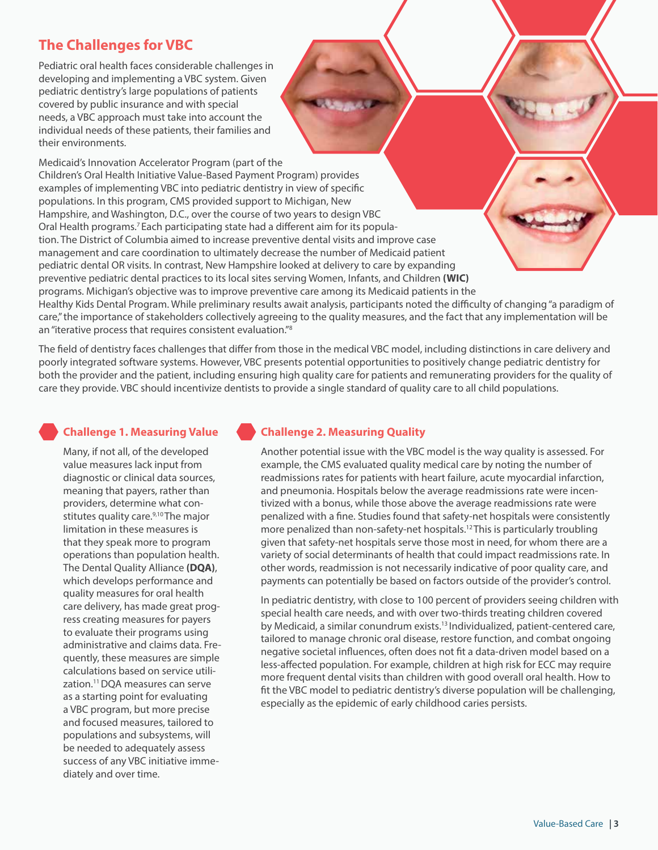# **The Challenges for VBC**

Pediatric oral health faces considerable challenges in developing and implementing a VBC system. Given pediatric dentistry's large populations of patients covered by public insurance and with special needs, a VBC approach must take into account the individual needs of these patients, their families and their environments.

Medicaid's Innovation Accelerator Program (part of the Children's Oral Health Initiative Value-Based Payment Program) provides examples of implementing VBC into pediatric dentistry in view of specific populations. In this program, CMS provided support to Michigan, New Hampshire, and Washington, D.C., over the course of two years to design VBC Oral Health programs.7 Each participating state had a different aim for its population. The District of Columbia aimed to increase preventive dental visits and improve case management and care coordination to ultimately decrease the number of Medicaid patient pediatric dental OR visits. In contrast, New Hampshire looked at delivery to care by expanding preventive pediatric dental practices to its local sites serving Women, Infants, and Children **(WIC)** programs. Michigan's objective was to improve preventive care among its Medicaid patients in the Healthy Kids Dental Program. While preliminary results await analysis, participants noted the difficulty of changing "a paradigm of care," the importance of stakeholders collectively agreeing to the quality measures, and the fact that any implementation will be an "iterative process that requires consistent evaluation."8

**STARRA** 

The field of dentistry faces challenges that differ from those in the medical VBC model, including distinctions in care delivery and poorly integrated software systems. However, VBC presents potential opportunities to positively change pediatric dentistry for both the provider and the patient, including ensuring high quality care for patients and remunerating providers for the quality of care they provide. VBC should incentivize dentists to provide a single standard of quality care to all child populations.

## **Challenge 1. Measuring Value**

Many, if not all, of the developed value measures lack input from diagnostic or clinical data sources, meaning that payers, rather than providers, determine what constitutes quality care.<sup>9,10</sup> The major limitation in these measures is that they speak more to program operations than population health. The Dental Quality Alliance **(DQA)**, which develops performance and quality measures for oral health care delivery, has made great progress creating measures for payers to evaluate their programs using administrative and claims data. Frequently, these measures are simple calculations based on service utilization.11 DQA measures can serve as a starting point for evaluating a VBC program, but more precise and focused measures, tailored to populations and subsystems, will be needed to adequately assess success of any VBC initiative immediately and over time.

# **Challenge 2. Measuring Quality**

Another potential issue with the VBC model is the way quality is assessed. For example, the CMS evaluated quality medical care by noting the number of readmissions rates for patients with heart failure, acute myocardial infarction, and pneumonia. Hospitals below the average readmissions rate were incentivized with a bonus, while those above the average readmissions rate were penalized with a fine. Studies found that safety-net hospitals were consistently more penalized than non-safety-net hospitals.<sup>12</sup> This is particularly troubling given that safety-net hospitals serve those most in need, for whom there are a variety of social determinants of health that could impact readmissions rate. In other words, readmission is not necessarily indicative of poor quality care, and payments can potentially be based on factors outside of the provider's control.

In pediatric dentistry, with close to 100 percent of providers seeing children with special health care needs, and with over two-thirds treating children covered by Medicaid, a similar conundrum exists.<sup>13</sup> Individualized, patient-centered care, tailored to manage chronic oral disease, restore function, and combat ongoing negative societal influences, often does not fit a data-driven model based on a less-affected population. For example, children at high risk for ECC may require more frequent dental visits than children with good overall oral health. How to fit the VBC model to pediatric dentistry's diverse population will be challenging, especially as the epidemic of early childhood caries persists.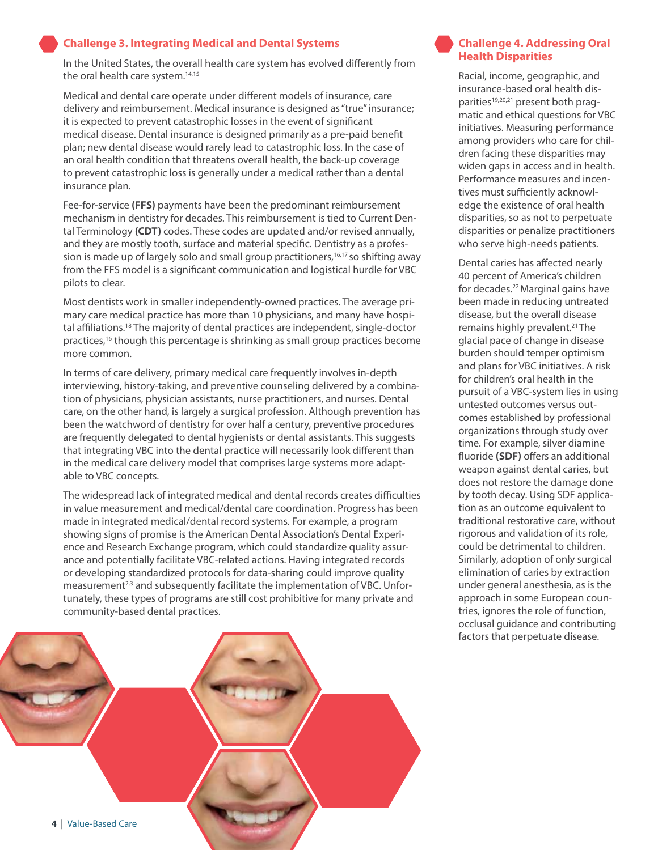#### **Challenge 3. Integrating Medical and Dental Systems**

In the United States, the overall health care system has evolved differently from the oral health care system.<sup>14,15</sup>

Medical and dental care operate under different models of insurance, care delivery and reimbursement. Medical insurance is designed as "true" insurance; it is expected to prevent catastrophic losses in the event of significant medical disease. Dental insurance is designed primarily as a pre-paid benefit plan; new dental disease would rarely lead to catastrophic loss. In the case of an oral health condition that threatens overall health, the back-up coverage to prevent catastrophic loss is generally under a medical rather than a dental insurance plan.

Fee-for-service **(FFS)** payments have been the predominant reimbursement mechanism in dentistry for decades. This reimbursement is tied to Current Dental Terminology **(CDT)** codes. These codes are updated and/or revised annually, and they are mostly tooth, surface and material specific. Dentistry as a profession is made up of largely solo and small group practitioners,  $16,17$  so shifting away from the FFS model is a significant communication and logistical hurdle for VBC pilots to clear.

Most dentists work in smaller independently-owned practices. The average primary care medical practice has more than 10 physicians, and many have hospital affiliations.18 The majority of dental practices are independent, single-doctor practices,<sup>16</sup> though this percentage is shrinking as small group practices become more common.

In terms of care delivery, primary medical care frequently involves in-depth interviewing, history-taking, and preventive counseling delivered by a combination of physicians, physician assistants, nurse practitioners, and nurses. Dental care, on the other hand, is largely a surgical profession. Although prevention has been the watchword of dentistry for over half a century, preventive procedures are frequently delegated to dental hygienists or dental assistants. This suggests that integrating VBC into the dental practice will necessarily look different than in the medical care delivery model that comprises large systems more adaptable to VBC concepts.

The widespread lack of integrated medical and dental records creates difficulties in value measurement and medical/dental care coordination. Progress has been made in integrated medical/dental record systems. For example, a program showing signs of promise is the American Dental Association's Dental Experience and Research Exchange program, which could standardize quality assurance and potentially facilitate VBC-related actions. Having integrated records or developing standardized protocols for data-sharing could improve quality measurement<sup>2,3</sup> and subsequently facilitate the implementation of VBC. Unfortunately, these types of programs are still cost prohibitive for many private and community-based dental practices.



## **Challenge 4. Addressing Oral Health Disparities**

Racial, income, geographic, and insurance-based oral health disparities<sup>19,20,21</sup> present both pragmatic and ethical questions for VBC initiatives. Measuring performance among providers who care for children facing these disparities may widen gaps in access and in health. Performance measures and incentives must sufficiently acknowledge the existence of oral health disparities, so as not to perpetuate disparities or penalize practitioners who serve high-needs patients.

Dental caries has affected nearly 40 percent of America's children for decades.22 Marginal gains have been made in reducing untreated disease, but the overall disease remains highly prevalent.<sup>21</sup> The glacial pace of change in disease burden should temper optimism and plans for VBC initiatives. A risk for children's oral health in the pursuit of a VBC-system lies in using untested outcomes versus outcomes established by professional organizations through study over time. For example, silver diamine fluoride **(SDF)** offers an additional weapon against dental caries, but does not restore the damage done by tooth decay. Using SDF application as an outcome equivalent to traditional restorative care, without rigorous and validation of its role, could be detrimental to children. Similarly, adoption of only surgical elimination of caries by extraction under general anesthesia, as is the approach in some European countries, ignores the role of function, occlusal guidance and contributing factors that perpetuate disease.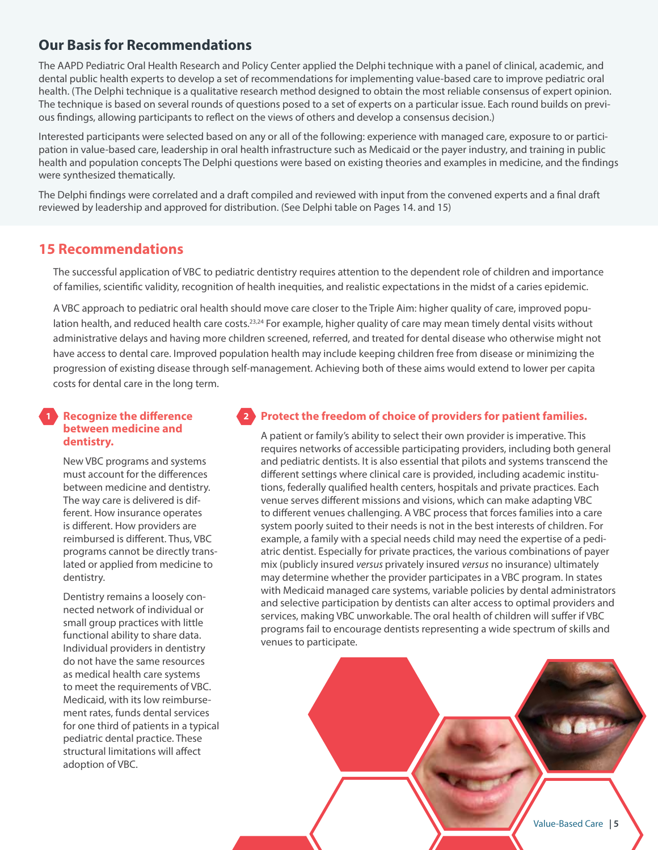# **Our Basis for Recommendations**

The AAPD Pediatric Oral Health Research and Policy Center applied the Delphi technique with a panel of clinical, academic, and dental public health experts to develop a set of recommendations for implementing value-based care to improve pediatric oral health. (The Delphi technique is a qualitative research method designed to obtain the most reliable consensus of expert opinion. The technique is based on several rounds of questions posed to a set of experts on a particular issue. Each round builds on previous findings, allowing participants to reflect on the views of others and develop a consensus decision.)

Interested participants were selected based on any or all of the following: experience with managed care, exposure to or participation in value-based care, leadership in oral health infrastructure such as Medicaid or the payer industry, and training in public health and population concepts The Delphi questions were based on existing theories and examples in medicine, and the findings were synthesized thematically.

The Delphi findings were correlated and a draft compiled and reviewed with input from the convened experts and a final draft reviewed by leadership and approved for distribution. (See Delphi table on Pages 14. and 15)

# **15 Recommendations**

The successful application of VBC to pediatric dentistry requires attention to the dependent role of children and importance of families, scientific validity, recognition of health inequities, and realistic expectations in the midst of a caries epidemic.

A VBC approach to pediatric oral health should move care closer to the Triple Aim: higher quality of care, improved population health, and reduced health care costs.<sup>23,24</sup> For example, higher quality of care may mean timely dental visits without administrative delays and having more children screened, referred, and treated for dental disease who otherwise might not have access to dental care. Improved population health may include keeping children free from disease or minimizing the progression of existing disease through self-management. Achieving both of these aims would extend to lower per capita costs for dental care in the long term.

## **Recognize the difference 1 2between medicine and dentistry.**

New VBC programs and systems must account for the differences between medicine and dentistry. The way care is delivered is different. How insurance operates is different. How providers are reimbursed is different. Thus, VBC programs cannot be directly translated or applied from medicine to dentistry.

Dentistry remains a loosely connected network of individual or small group practices with little functional ability to share data. Individual providers in dentistry do not have the same resources as medical health care systems to meet the requirements of VBC. Medicaid, with its low reimbursement rates, funds dental services for one third of patients in a typical pediatric dental practice. These structural limitations will affect adoption of VBC.

## **Protect the freedom of choice of providers for patient families.**

A patient or family's ability to select their own provider is imperative. This requires networks of accessible participating providers, including both general and pediatric dentists. It is also essential that pilots and systems transcend the different settings where clinical care is provided, including academic institutions, federally qualified health centers, hospitals and private practices. Each venue serves different missions and visions, which can make adapting VBC to different venues challenging. A VBC process that forces families into a care system poorly suited to their needs is not in the best interests of children. For example, a family with a special needs child may need the expertise of a pediatric dentist. Especially for private practices, the various combinations of payer mix (publicly insured *versus* privately insured *versus* no insurance) ultimately may determine whether the provider participates in a VBC program. In states with Medicaid managed care systems, variable policies by dental administrators and selective participation by dentists can alter access to optimal providers and services, making VBC unworkable. The oral health of children will suffer if VBC programs fail to encourage dentists representing a wide spectrum of skills and venues to participate.

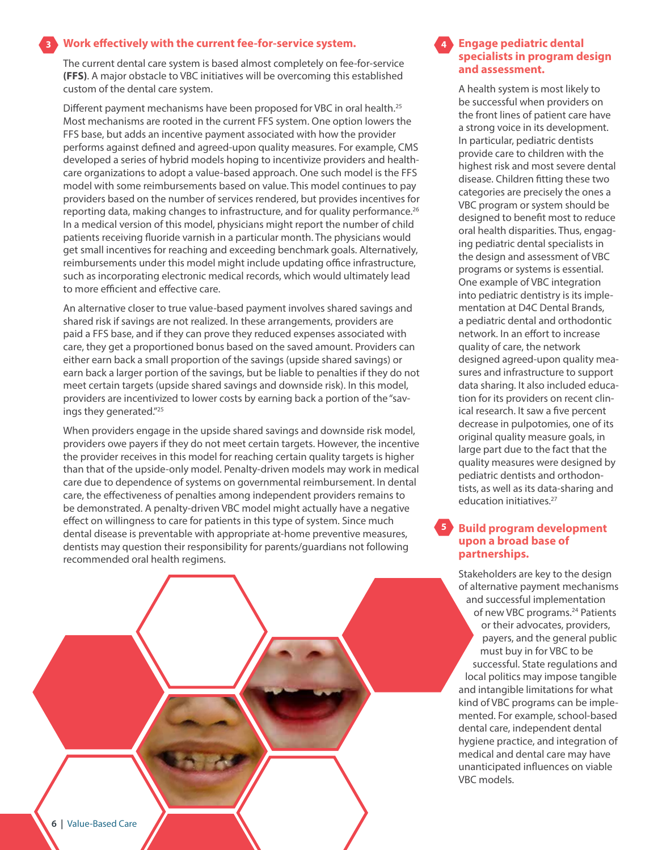#### **Work effectively with the current fee-for-service system. 3**

The current dental care system is based almost completely on fee-for-service **(FFS)**. A major obstacle to VBC initiatives will be overcoming this established custom of the dental care system.

Different payment mechanisms have been proposed for VBC in oral health.<sup>25</sup> Most mechanisms are rooted in the current FFS system. One option lowers the FFS base, but adds an incentive payment associated with how the provider performs against defined and agreed-upon quality measures. For example, CMS developed a series of hybrid models hoping to incentivize providers and healthcare organizations to adopt a value-based approach. One such model is the FFS model with some reimbursements based on value. This model continues to pay providers based on the number of services rendered, but provides incentives for reporting data, making changes to infrastructure, and for quality performance.<sup>26</sup> In a medical version of this model, physicians might report the number of child patients receiving fluoride varnish in a particular month. The physicians would get small incentives for reaching and exceeding benchmark goals. Alternatively, reimbursements under this model might include updating office infrastructure, such as incorporating electronic medical records, which would ultimately lead to more efficient and effective care.

An alternative closer to true value-based payment involves shared savings and shared risk if savings are not realized. In these arrangements, providers are paid a FFS base, and if they can prove they reduced expenses associated with care, they get a proportioned bonus based on the saved amount. Providers can either earn back a small proportion of the savings (upside shared savings) or earn back a larger portion of the savings, but be liable to penalties if they do not meet certain targets (upside shared savings and downside risk). In this model, providers are incentivized to lower costs by earning back a portion of the "savings they generated."25

When providers engage in the upside shared savings and downside risk model, providers owe payers if they do not meet certain targets. However, the incentive the provider receives in this model for reaching certain quality targets is higher than that of the upside-only model. Penalty-driven models may work in medical care due to dependence of systems on governmental reimbursement. In dental care, the effectiveness of penalties among independent providers remains to be demonstrated. A penalty-driven VBC model might actually have a negative effect on willingness to care for patients in this type of system. Since much dental disease is preventable with appropriate at-home preventive measures, dentists may question their responsibility for parents/guardians not following recommended oral health regimens.



#### **Engage pediatric dental specialists in program design and assessment.**

**4**

A health system is most likely to be successful when providers on the front lines of patient care have a strong voice in its development. In particular, pediatric dentists provide care to children with the highest risk and most severe dental disease. Children fitting these two categories are precisely the ones a VBC program or system should be designed to benefit most to reduce oral health disparities. Thus, engaging pediatric dental specialists in the design and assessment of VBC programs or systems is essential. One example of VBC integration into pediatric dentistry is its implementation at D4C Dental Brands, a pediatric dental and orthodontic network. In an effort to increase quality of care, the network designed agreed-upon quality measures and infrastructure to support data sharing. It also included education for its providers on recent clinical research. It saw a five percent decrease in pulpotomies, one of its original quality measure goals, in large part due to the fact that the quality measures were designed by pediatric dentists and orthodontists, as well as its data-sharing and education initiatives.<sup>27</sup>

#### **Build program development upon a broad base of partnerships. 5**

Stakeholders are key to the design of alternative payment mechanisms and successful implementation of new VBC programs.<sup>24</sup> Patients or their advocates, providers, payers, and the general public must buy in for VBC to be successful. State regulations and local politics may impose tangible and intangible limitations for what kind of VBC programs can be implemented. For example, school-based dental care, independent dental hygiene practice, and integration of medical and dental care may have unanticipated influences on viable VBC models.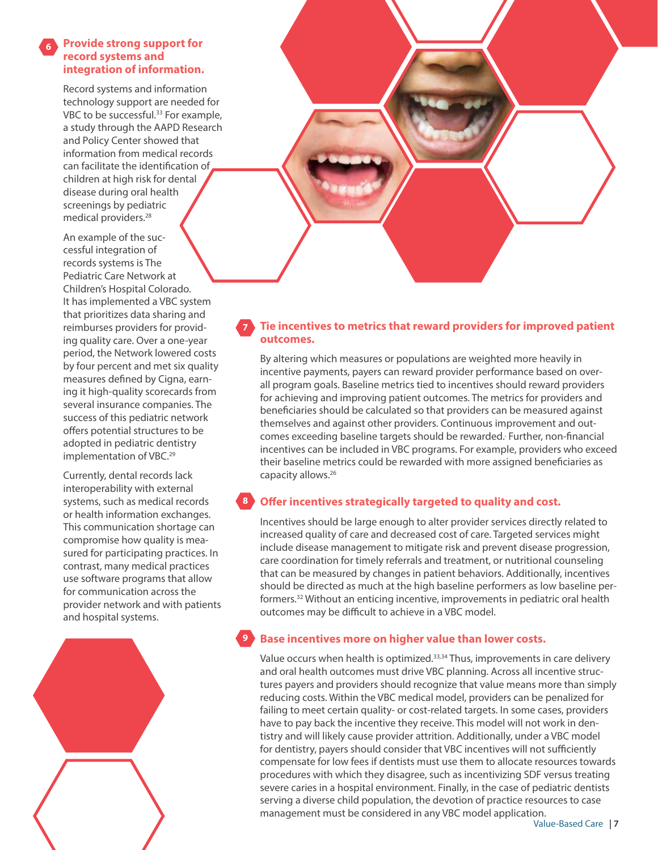#### **Provide strong support for record systems and integration of information. 6**

Record systems and information technology support are needed for VBC to be successful.<sup>33</sup> For example, a study through the AAPD Research and Policy Center showed that information from medical records can facilitate the identification of children at high risk for dental disease during oral health screenings by pediatric medical providers.<sup>28</sup>

An example of the successful integration of records systems is The Pediatric Care Network at Children's Hospital Colorado. It has implemented a VBC system that prioritizes data sharing and reimburses providers for providing quality care. Over a one-year period, the Network lowered costs by four percent and met six quality measures defined by Cigna, earning it high-quality scorecards from several insurance companies. The success of this pediatric network offers potential structures to be adopted in pediatric dentistry implementation of VBC.<sup>29</sup>

Currently, dental records lack interoperability with external systems, such as medical records or health information exchanges. This communication shortage can compromise how quality is measured for participating practices. In contrast, many medical practices use software programs that allow for communication across the provider network and with patients and hospital systems.





#### **Tie incentives to metrics that reward providers for improved patient outcomes. 7**

By altering which measures or populations are weighted more heavily in incentive payments, payers can reward provider performance based on overall program goals. Baseline metrics tied to incentives should reward providers for achieving and improving patient outcomes. The metrics for providers and beneficiaries should be calculated so that providers can be measured against themselves and against other providers. Continuous improvement and outcomes exceeding baseline targets should be rewarded. Further, non-financial incentives can be included in VBC programs. For example, providers who exceed their baseline metrics could be rewarded with more assigned beneficiaries as capacity allows.<sup>26</sup>

#### **Offer incentives strategically targeted to quality and cost. 8**

Incentives should be large enough to alter provider services directly related to increased quality of care and decreased cost of care. Targeted services might include disease management to mitigate risk and prevent disease progression, care coordination for timely referrals and treatment, or nutritional counseling that can be measured by changes in patient behaviors. Additionally, incentives should be directed as much at the high baseline performers as low baseline performers.32 Without an enticing incentive, improvements in pediatric oral health outcomes may be difficult to achieve in a VBC model.

#### **Base incentives more on higher value than lower costs. 9**

Value occurs when health is optimized.<sup>33,34</sup> Thus, improvements in care delivery and oral health outcomes must drive VBC planning. Across all incentive structures payers and providers should recognize that value means more than simply reducing costs. Within the VBC medical model, providers can be penalized for failing to meet certain quality- or cost-related targets. In some cases, providers have to pay back the incentive they receive. This model will not work in dentistry and will likely cause provider attrition. Additionally, under a VBC model for dentistry, payers should consider that VBC incentives will not sufficiently compensate for low fees if dentists must use them to allocate resources towards procedures with which they disagree, such as incentivizing SDF versus treating severe caries in a hospital environment. Finally, in the case of pediatric dentists serving a diverse child population, the devotion of practice resources to case management must be considered in any VBC model application.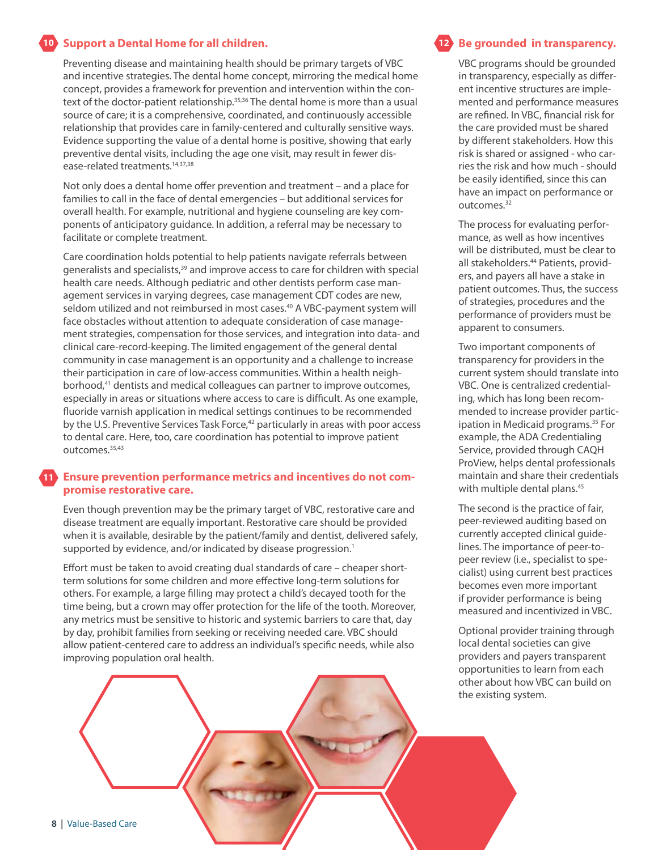#### **Support a Dental Home for all children. 10 12**

Preventing disease and maintaining health should be primary targets of VBC and incentive strategies. The dental home concept, mirroring the medical home concept, provides a framework for prevention and intervention within the context of the doctor-patient relationship.<sup>35,36</sup> The dental home is more than a usual source of care; it is a comprehensive, coordinated, and continuously accessible relationship that provides care in family-centered and culturally sensitive ways. Evidence supporting the value of a dental home is positive, showing that early preventive dental visits, including the age one visit, may result in fewer disease-related treatments.<sup>14,37,38</sup>

Not only does a dental home offer prevention and treatment – and a place for families to call in the face of dental emergencies – but additional services for overall health. For example, nutritional and hygiene counseling are key components of anticipatory guidance. In addition, a referral may be necessary to facilitate or complete treatment.

Care coordination holds potential to help patients navigate referrals between generalists and specialists,<sup>39</sup> and improve access to care for children with special health care needs. Although pediatric and other dentists perform case management services in varying degrees, case management CDT codes are new, seldom utilized and not reimbursed in most cases.<sup>40</sup> A VBC-payment system will face obstacles without attention to adequate consideration of case management strategies, compensation for those services, and integration into data- and clinical care-record-keeping. The limited engagement of the general dental community in case management is an opportunity and a challenge to increase their participation in care of low-access communities. Within a health neighborhood,<sup>41</sup> dentists and medical colleagues can partner to improve outcomes, especially in areas or situations where access to care is difficult. As one example, fluoride varnish application in medical settings continues to be recommended by the U.S. Preventive Services Task Force,<sup>42</sup> particularly in areas with poor access to dental care. Here, too, care coordination has potential to improve patient outcomes.<sup>35,43</sup>

#### **Ensure prevention performance metrics and incentives do not compromise restorative care. 11**

Even though prevention may be the primary target of VBC, restorative care and disease treatment are equally important. Restorative care should be provided when it is available, desirable by the patient/family and dentist, delivered safely, supported by evidence, and/or indicated by disease progression.<sup>1</sup>

Effort must be taken to avoid creating dual standards of care – cheaper shortterm solutions for some children and more effective long-term solutions for others. For example, a large filling may protect a child's decayed tooth for the time being, but a crown may offer protection for the life of the tooth. Moreover, any metrics must be sensitive to historic and systemic barriers to care that, day by day, prohibit families from seeking or receiving needed care. VBC should allow patient-centered care to address an individual's specific needs, while also improving population oral health.



VBC programs should be grounded in transparency, especially as different incentive structures are implemented and performance measures are refined. In VBC, financial risk for the care provided must be shared by different stakeholders. How this risk is shared or assigned - who carries the risk and how much - should be easily identified, since this can have an impact on performance or outcomes.32

The process for evaluating performance, as well as how incentives will be distributed, must be clear to all stakeholders.44 Patients, providers, and payers all have a stake in patient outcomes. Thus, the success of strategies, procedures and the performance of providers must be apparent to consumers.

Two important components of transparency for providers in the current system should translate into VBC. One is centralized credentialing, which has long been recommended to increase provider participation in Medicaid programs.35 For example, the ADA Credentialing Service, provided through CAQH ProView, helps dental professionals maintain and share their credentials with multiple dental plans.<sup>45</sup>

The second is the practice of fair, peer-reviewed auditing based on currently accepted clinical guidelines. The importance of peer-topeer review (i.e., specialist to specialist) using current best practices becomes even more important if provider performance is being measured and incentivized in VBC.

Optional provider training through local dental societies can give providers and payers transparent opportunities to learn from each other about how VBC can build on the existing system.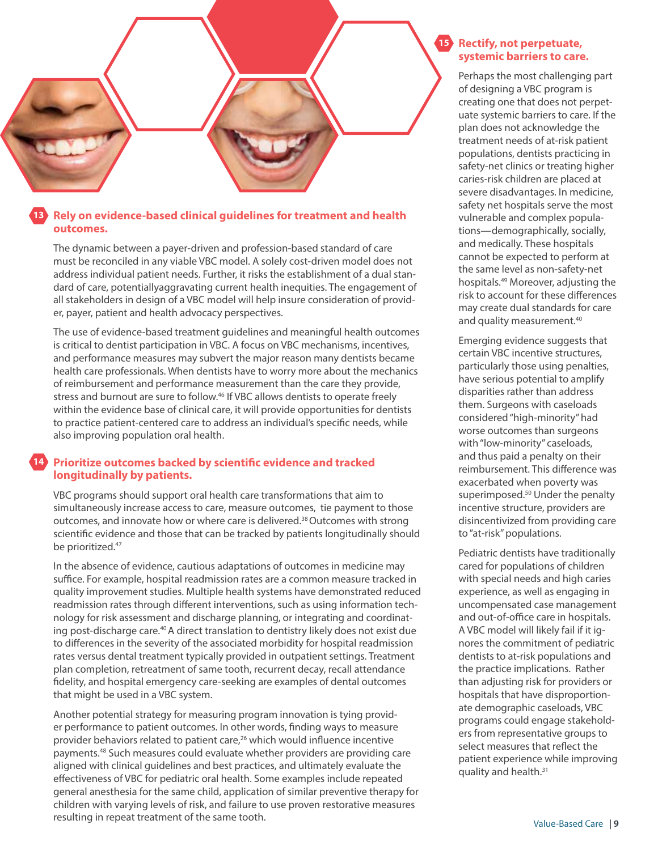

#### **Rely on evidence-based clinical guidelines for treatment and health outcomes. 13**

The dynamic between a payer-driven and profession-based standard of care must be reconciled in any viable VBC model. A solely cost-driven model does not address individual patient needs. Further, it risks the establishment of a dual standard of care, potentiallyaggravating current health inequities. The engagement of all stakeholders in design of a VBC model will help insure consideration of provider, payer, patient and health advocacy perspectives.

The use of evidence-based treatment guidelines and meaningful health outcomes is critical to dentist participation in VBC. A focus on VBC mechanisms, incentives, and performance measures may subvert the major reason many dentists became health care professionals. When dentists have to worry more about the mechanics of reimbursement and performance measurement than the care they provide, stress and burnout are sure to follow.<sup>46</sup> If VBC allows dentists to operate freely within the evidence base of clinical care, it will provide opportunities for dentists to practice patient-centered care to address an individual's specific needs, while also improving population oral health.

#### **Prioritize outcomes backed by scientific evidence and tracked 14longitudinally by patients.**

VBC programs should support oral health care transformations that aim to simultaneously increase access to care, measure outcomes, tie payment to those outcomes, and innovate how or where care is delivered.<sup>38</sup> Outcomes with strong scientific evidence and those that can be tracked by patients longitudinally should be prioritized.<sup>47</sup>

In the absence of evidence, cautious adaptations of outcomes in medicine may suffice. For example, hospital readmission rates are a common measure tracked in quality improvement studies. Multiple health systems have demonstrated reduced readmission rates through different interventions, such as using information technology for risk assessment and discharge planning, or integrating and coordinating post-discharge care.<sup>40</sup> A direct translation to dentistry likely does not exist due to differences in the severity of the associated morbidity for hospital readmission rates versus dental treatment typically provided in outpatient settings. Treatment plan completion, retreatment of same tooth, recurrent decay, recall attendance fidelity, and hospital emergency care-seeking are examples of dental outcomes that might be used in a VBC system.

Another potential strategy for measuring program innovation is tying provider performance to patient outcomes. In other words, finding ways to measure provider behaviors related to patient care,<sup>26</sup> which would influence incentive payments.48 Such measures could evaluate whether providers are providing care aligned with clinical guidelines and best practices, and ultimately evaluate the effectiveness of VBC for pediatric oral health. Some examples include repeated general anesthesia for the same child, application of similar preventive therapy for children with varying levels of risk, and failure to use proven restorative measures resulting in repeat treatment of the same tooth.

### 15 Rectify, not perpetuate, **systemic barriers to care.**

Perhaps the most challenging part of designing a VBC program is creating one that does not perpetuate systemic barriers to care. If the plan does not acknowledge the treatment needs of at-risk patient populations, dentists practicing in safety-net clinics or treating higher caries-risk children are placed at severe disadvantages. In medicine, safety net hospitals serve the most vulnerable and complex populations—demographically, socially, and medically. These hospitals cannot be expected to perform at the same level as non-safety-net hospitals.49 Moreover, adjusting the risk to account for these differences may create dual standards for care and quality measurement.<sup>40</sup>

Emerging evidence suggests that certain VBC incentive structures, particularly those using penalties, have serious potential to amplify disparities rather than address them. Surgeons with caseloads considered "high-minority" had worse outcomes than surgeons with "low-minority" caseloads, and thus paid a penalty on their reimbursement. This difference was exacerbated when poverty was superimposed.<sup>50</sup> Under the penalty incentive structure, providers are disincentivized from providing care to "at-risk" populations.

Pediatric dentists have traditionally cared for populations of children with special needs and high caries experience, as well as engaging in uncompensated case management and out-of-office care in hospitals. A VBC model will likely fail if it ignores the commitment of pediatric dentists to at-risk populations and the practice implications. Rather than adjusting risk for providers or hospitals that have disproportionate demographic caseloads, VBC programs could engage stakeholders from representative groups to select measures that reflect the patient experience while improving quality and health.31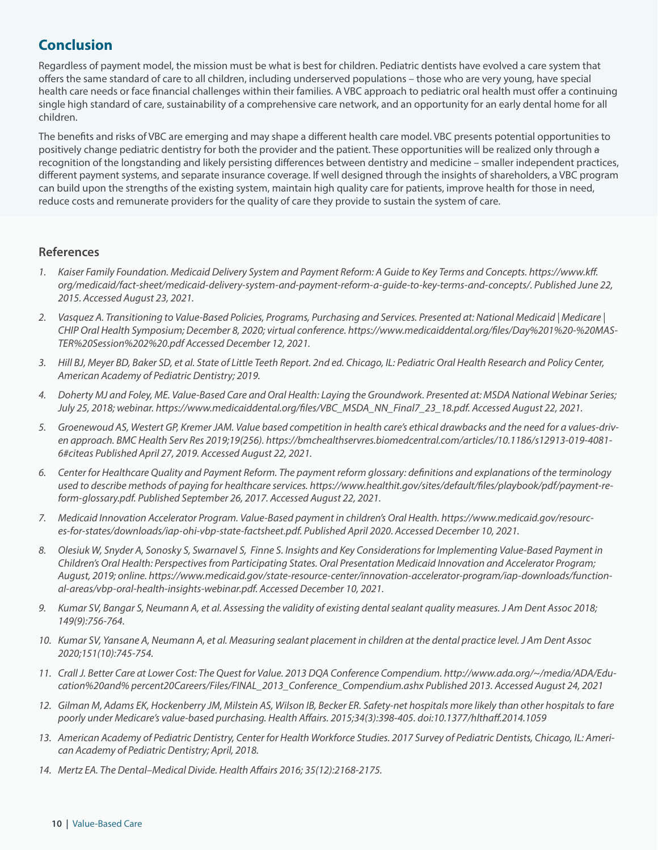# **Conclusion**

Regardless of payment model, the mission must be what is best for children. Pediatric dentists have evolved a care system that offers the same standard of care to all children, including underserved populations – those who are very young, have special health care needs or face financial challenges within their families. A VBC approach to pediatric oral health must offer a continuing single high standard of care, sustainability of a comprehensive care network, and an opportunity for an early dental home for all children.

The benefits and risks of VBC are emerging and may shape a different health care model. VBC presents potential opportunities to positively change pediatric dentistry for both the provider and the patient. These opportunities will be realized only through a recognition of the longstanding and likely persisting differences between dentistry and medicine – smaller independent practices, different payment systems, and separate insurance coverage. If well designed through the insights of shareholders, a VBC program can build upon the strengths of the existing system, maintain high quality care for patients, improve health for those in need, reduce costs and remunerate providers for the quality of care they provide to sustain the system of care.

## **References**

- *1. Kaiser Family Foundation. Medicaid Delivery System and Payment Reform: A Guide to Key Terms and Concepts. https://www.kff. org/medicaid/fact-sheet/medicaid-delivery-system-and-payment-reform-a-guide-to-key-terms-and-concepts/. Published June 22, 2015. Accessed August 23, 2021.*
- *2. Vasquez A. Transitioning to Value-Based Policies, Programs, Purchasing and Services. Presented at: National Medicaid | Medicare | CHIP Oral Health Symposium; December 8, 2020; virtual conference. https://www.medicaiddental.org/files/Day%201%20-%20MAS-TER%20Session%202%20.pdf Accessed December 12, 2021.*
- *3. Hill BJ, Meyer BD, Baker SD, et al. State of Little Teeth Report. 2nd ed. Chicago, IL: Pediatric Oral Health Research and Policy Center, American Academy of Pediatric Dentistry; 2019.*
- *4. Doherty MJ and Foley, ME. Value-Based Care and Oral Health: Laying the Groundwork. Presented at: MSDA National Webinar Series; July 25, 2018; webinar. https://www.medicaiddental.org/files/VBC\_MSDA\_NN\_Final7\_23\_18.pdf. Accessed August 22, 2021.*
- *5. Groenewoud AS, Westert GP, Kremer JAM. Value based competition in health care's ethical drawbacks and the need for a values-driven approach. BMC Health Serv Res 2019;19(256). https://bmchealthservres.biomedcentral.com/articles/10.1186/s12913-019-4081- 6#citeas Published April 27, 2019. Accessed August 22, 2021.*
- *6. Center for Healthcare Quality and Payment Reform. The payment reform glossary: definitions and explanations of the terminology used to describe methods of paying for healthcare services. https://www.healthit.gov/sites/default/files/playbook/pdf/payment-reform-glossary.pdf. Published September 26, 2017. Accessed August 22, 2021.*
- *7. Medicaid Innovation Accelerator Program. Value-Based payment in children's Oral Health. https://www.medicaid.gov/resources-for-states/downloads/iap-ohi-vbp-state-factsheet.pdf. Published April 2020. Accessed December 10, 2021.*
- *8. Olesiuk W, Snyder A, Sonosky S, Swarnavel S, Finne S. Insights and Key Considerations for Implementing Value-Based Payment in Children's Oral Health: Perspectives from Participating States. Oral Presentation Medicaid Innovation and Accelerator Program; August, 2019; online. https://www.medicaid.gov/state-resource-center/innovation-accelerator-program/iap-downloads/functional-areas/vbp-oral-health-insights-webinar.pdf. Accessed December 10, 2021.*
- *9. Kumar SV, Bangar S, Neumann A, et al. Assessing the validity of existing dental sealant quality measures. J Am Dent Assoc 2018; 149(9):756-764.*
- *10. Kumar SV, Yansane A, Neumann A, et al. Measuring sealant placement in children at the dental practice level. J Am Dent Assoc 2020;151(10):745-754.*
- *11. Crall J. Better Care at Lower Cost: The Quest for Value. 2013 DQA Conference Compendium. http://www.ada.org/~/media/ADA/Education%20and% percent20Careers/Files/FINAL\_2013\_Conference\_Compendium.ashx Published 2013. Accessed August 24, 2021*
- *12. Gilman M, Adams EK, Hockenberry JM, Milstein AS, Wilson IB, Becker ER. Safety-net hospitals more likely than other hospitals to fare poorly under Medicare's value-based purchasing. Health Affairs. 2015;34(3):398-405. doi:10.1377/hlthaff.2014.1059*
- *13. American Academy of Pediatric Dentistry, Center for Health Workforce Studies. 2017 Survey of Pediatric Dentists, Chicago, IL: American Academy of Pediatric Dentistry; April, 2018.*
- *14. Mertz EA. The Dental–Medical Divide. Health Affairs 2016; 35(12):2168-2175.*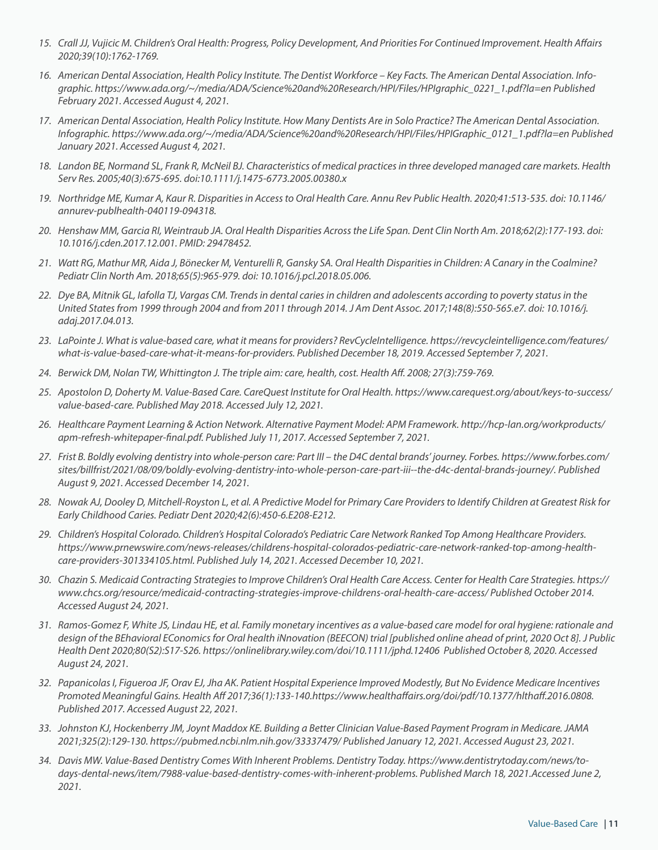- *15. Crall JJ, Vujicic M. Children's Oral Health: Progress, Policy Development, And Priorities For Continued Improvement. Health Affairs 2020;39(10):1762-1769.*
- *16. American Dental Association, Health Policy Institute. The Dentist Workforce Key Facts. The American Dental Association. Infographic. https://www.ada.org/~/media/ADA/Science%20and%20Research/HPI/Files/HPIgraphic\_0221\_1.pdf?la=en Published February 2021. Accessed August 4, 2021.*
- *17. American Dental Association, Health Policy Institute. How Many Dentists Are in Solo Practice? The American Dental Association. Infographic. https://www.ada.org/~/media/ADA/Science%20and%20Research/HPI/Files/HPIGraphic\_0121\_1.pdf?la=en Published January 2021. Accessed August 4, 2021.*
- *18. Landon BE, Normand SL, Frank R, McNeil BJ. Characteristics of medical practices in three developed managed care markets. Health Serv Res. 2005;40(3):675-695. doi:10.1111/j.1475-6773.2005.00380.x*
- *19. Northridge ME, Kumar A, Kaur R. Disparities in Access to Oral Health Care. Annu Rev Public Health. 2020;41:513-535. doi: 10.1146/ annurev-publhealth-040119-094318.*
- *20. Henshaw MM, Garcia RI, Weintraub JA. Oral Health Disparities Across the Life Span. Dent Clin North Am. 2018;62(2):177-193. doi: 10.1016/j.cden.2017.12.001. PMID: 29478452.*
- *21. Watt RG, Mathur MR, Aida J, Bönecker M, Venturelli R, Gansky SA. Oral Health Disparities in Children: A Canary in the Coalmine? Pediatr Clin North Am. 2018;65(5):965-979. doi: 10.1016/j.pcl.2018.05.006.*
- *22. Dye BA, Mitnik GL, Iafolla TJ, Vargas CM. Trends in dental caries in children and adolescents according to poverty status in the United States from 1999 through 2004 and from 2011 through 2014. J Am Dent Assoc. 2017;148(8):550-565.e7. doi: 10.1016/j. adaj.2017.04.013.*
- *23. LaPointe J. What is value-based care, what it means for providers? RevCycleIntelligence. https://revcycleintelligence.com/features/* what-is-value-based-care-what-it-means-for-providers. Published December 18, 2019. Accessed September 7, 2021.
- *24. Berwick DM, Nolan TW, Whittington J. The triple aim: care, health, cost. Health Aff. 2008; 27(3):759-769.*
- *25. Apostolon D, Doherty M. Value-Based Care. CareQuest Institute for Oral Health. https://www.carequest.org/about/keys-to-success/ value-based-care. Published May 2018. Accessed July 12, 2021.*
- *26. Healthcare Payment Learning & Action Network. Alternative Payment Model: APM Framework. http://hcp-lan.org/workproducts/ apm-refresh-whitepaper-final.pdf. Published July 11, 2017. Accessed September 7, 2021.*
- *27. Frist B. Boldly evolving dentistry into whole-person care: Part III the D4C dental brands' journey. Forbes. https://www.forbes.com/ sites/billfrist/2021/08/09/boldly-evolving-dentistry-into-whole-person-care-part-iii--the-d4c-dental-brands-journey/. Published August 9, 2021. Accessed December 14, 2021.*
- *28. Nowak AJ, Dooley D, Mitchell-Royston L, et al. A Predictive Model for Primary Care Providers to Identify Children at Greatest Risk for Early Childhood Caries. Pediatr Dent 2020;42(6):450-6.E208-E212.*
- *29. Children's Hospital Colorado. Children's Hospital Colorado's Pediatric Care Network Ranked Top Among Healthcare Providers. https://www.prnewswire.com/news-releases/childrens-hospital-colorados-pediatric-care-network-ranked-top-among-healthcare-providers-301334105.html. Published July 14, 2021. Accessed December 10, 2021.*
- *30. Chazin S. Medicaid Contracting Strategies to Improve Children's Oral Health Care Access. Center for Health Care Strategies. https:// www.chcs.org/resource/medicaid-contracting-strategies-improve-childrens-oral-health-care-access/ Published October 2014. Accessed August 24, 2021.*
- *31. Ramos-Gomez F, White JS, Lindau HE, et al. Family monetary incentives as a value-based care model for oral hygiene: rationale and design of the BEhavioral EConomics for Oral health iNnovation (BEECON) trial [published online ahead of print, 2020 Oct 8]. J Public Health Dent 2020;80(S2):S17-S26. https://onlinelibrary.wiley.com/doi/10.1111/jphd.12406 Published October 8, 2020. Accessed August 24, 2021.*
- *32. Papanicolas I, Figueroa JF, Orav EJ, Jha AK. Patient Hospital Experience Improved Modestly, But No Evidence Medicare Incentives Promoted Meaningful Gains. Health Aff 2017;36(1):133-140.https://www.healthaffairs.org/doi/pdf/10.1377/hlthaff.2016.0808. Published 2017. Accessed August 22, 2021.*
- *33. Johnston KJ, Hockenberry JM, Joynt Maddox KE. Building a Better Clinician Value-Based Payment Program in Medicare. JAMA 2021;325(2):129-130. https://pubmed.ncbi.nlm.nih.gov/33337479/ Published January 12, 2021. Accessed August 23, 2021.*
- *34. Davis MW. Value-Based Dentistry Comes With Inherent Problems. Dentistry Today. https://www.dentistrytoday.com/news/todays-dental-news/item/7988-value-based-dentistry-comes-with-inherent-problems. Published March 18, 2021.Accessed June 2, 2021.*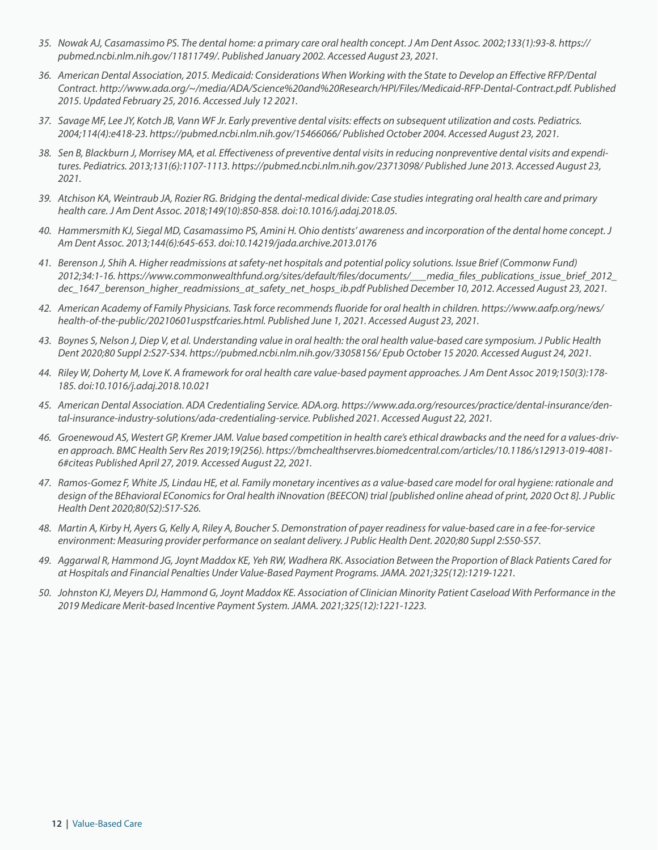- *35. Nowak AJ, Casamassimo PS. The dental home: a primary care oral health concept. J Am Dent Assoc. 2002;133(1):93-8. https:// pubmed.ncbi.nlm.nih.gov/11811749/. Published January 2002. Accessed August 23, 2021.*
- *36. American Dental Association, 2015. Medicaid: Considerations When Working with the State to Develop an Effective RFP/Dental Contract. http://www.ada.org/~/media/ADA/Science%20and%20Research/HPI/Files/Medicaid-RFP-Dental-Contract.pdf. Published 2015. Updated February 25, 2016. Accessed July 12 2021.*
- *37. Savage MF, Lee JY, Kotch JB, Vann WF Jr. Early preventive dental visits: effects on subsequent utilization and costs. Pediatrics. 2004;114(4):e418-23. https://pubmed.ncbi.nlm.nih.gov/15466066/ Published October 2004. Accessed August 23, 2021.*
- *38. Sen B, Blackburn J, Morrisey MA, et al. Effectiveness of preventive dental visits in reducing nonpreventive dental visits and expenditures. Pediatrics. 2013;131(6):1107-1113. https://pubmed.ncbi.nlm.nih.gov/23713098/ Published June 2013. Accessed August 23, 2021.*
- *39. Atchison KA, Weintraub JA, Rozier RG. Bridging the dental-medical divide: Case studies integrating oral health care and primary health care. J Am Dent Assoc. 2018;149(10):850-858. doi:10.1016/j.adaj.2018.05.*
- *40. Hammersmith KJ, Siegal MD, Casamassimo PS, Amini H. Ohio dentists' awareness and incorporation of the dental home concept. J Am Dent Assoc. 2013;144(6):645-653. doi:10.14219/jada.archive.2013.0176*
- *41. Berenson J, Shih A. Higher readmissions at safety-net hospitals and potential policy solutions. Issue Brief (Commonw Fund) 2012;34:1-16. https://www.commonwealthfund.org/sites/default/files/documents/\_\_\_media\_files\_publications\_issue\_brief\_2012\_ dec\_1647\_berenson\_higher\_readmissions\_at\_safety\_net\_hosps\_ib.pdf Published December 10, 2012. Accessed August 23, 2021.*
- *42. American Academy of Family Physicians. Task force recommends fluoride for oral health in children. https://www.aafp.org/news/ health-of-the-public/20210601uspstfcaries.html. Published June 1, 2021. Accessed August 23, 2021.*
- *43. Boynes S, Nelson J, Diep V, et al. Understanding value in oral health: the oral health value-based care symposium. J Public Health Dent 2020;80 Suppl 2:S27-S34. https://pubmed.ncbi.nlm.nih.gov/33058156/ Epub October 15 2020. Accessed August 24, 2021.*
- *44. Riley W, Doherty M, Love K. A framework for oral health care value-based payment approaches. J Am Dent Assoc 2019;150(3):178- 185. doi:10.1016/j.adaj.2018.10.021*
- *45. American Dental Association. ADA Credentialing Service. ADA.org. https://www.ada.org/resources/practice/dental-insurance/dental-insurance-industry-solutions/ada-credentialing-service. Published 2021. Accessed August 22, 2021.*
- *46. Groenewoud AS, Westert GP, Kremer JAM. Value based competition in health care's ethical drawbacks and the need for a values-driven approach. BMC Health Serv Res 2019;19(256). https://bmchealthservres.biomedcentral.com/articles/10.1186/s12913-019-4081- 6#citeas Published April 27, 2019. Accessed August 22, 2021.*
- *47. Ramos-Gomez F, White JS, Lindau HE, et al. Family monetary incentives as a value-based care model for oral hygiene: rationale and design of the BEhavioral EConomics for Oral health iNnovation (BEECON) trial [published online ahead of print, 2020 Oct 8]. J Public Health Dent 2020;80(S2):S17-S26.*
- *48. Martin A, Kirby H, Ayers G, Kelly A, Riley A, Boucher S. Demonstration of payer readiness for value-based care in a fee-for-service environment: Measuring provider performance on sealant delivery. J Public Health Dent. 2020;80 Suppl 2:S50-S57.*
- *49. Aggarwal R, Hammond JG, Joynt Maddox KE, Yeh RW, Wadhera RK. Association Between the Proportion of Black Patients Cared for at Hospitals and Financial Penalties Under Value-Based Payment Programs. JAMA. 2021;325(12):1219-1221.*
- *50. Johnston KJ, Meyers DJ, Hammond G, Joynt Maddox KE. Association of Clinician Minority Patient Caseload With Performance in the 2019 Medicare Merit-based Incentive Payment System. JAMA. 2021;325(12):1221-1223.*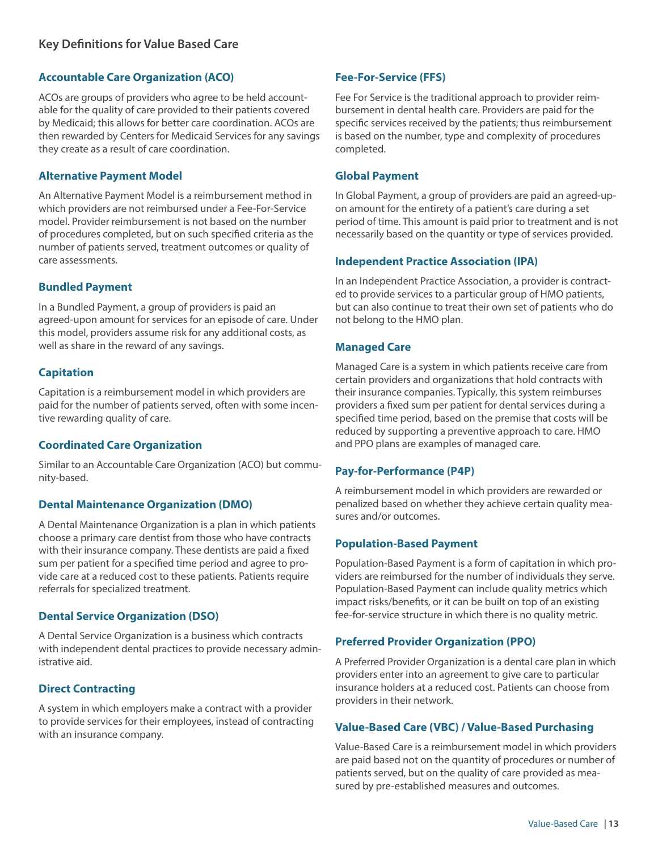## **Accountable Care Organization (ACO)**

ACOs are groups of providers who agree to be held accountable for the quality of care provided to their patients covered by Medicaid; this allows for better care coordination. ACOs are then rewarded by Centers for Medicaid Services for any savings they create as a result of care coordination.

#### **Alternative Payment Model**

An Alternative Payment Model is a reimbursement method in which providers are not reimbursed under a Fee-For-Service model. Provider reimbursement is not based on the number of procedures completed, but on such specified criteria as the number of patients served, treatment outcomes or quality of care assessments.

## **Bundled Payment**

In a Bundled Payment, a group of providers is paid an agreed-upon amount for services for an episode of care. Under this model, providers assume risk for any additional costs, as well as share in the reward of any savings.

#### **Capitation**

Capitation is a reimbursement model in which providers are paid for the number of patients served, often with some incentive rewarding quality of care.

#### **Coordinated Care Organization**

Similar to an Accountable Care Organization (ACO) but community-based.

#### **Dental Maintenance Organization (DMO)**

A Dental Maintenance Organization is a plan in which patients choose a primary care dentist from those who have contracts with their insurance company. These dentists are paid a fixed sum per patient for a specified time period and agree to provide care at a reduced cost to these patients. Patients require referrals for specialized treatment.

#### **Dental Service Organization (DSO)**

A Dental Service Organization is a business which contracts with independent dental practices to provide necessary administrative aid.

## **Direct Contracting**

A system in which employers make a contract with a provider to provide services for their employees, instead of contracting with an insurance company.

## **Fee-For-Service (FFS)**

Fee For Service is the traditional approach to provider reimbursement in dental health care. Providers are paid for the specific services received by the patients; thus reimbursement is based on the number, type and complexity of procedures completed.

#### **Global Payment**

In Global Payment, a group of providers are paid an agreed-upon amount for the entirety of a patient's care during a set period of time. This amount is paid prior to treatment and is not necessarily based on the quantity or type of services provided.

#### **Independent Practice Association (IPA)**

In an Independent Practice Association, a provider is contracted to provide services to a particular group of HMO patients, but can also continue to treat their own set of patients who do not belong to the HMO plan.

#### **Managed Care**

Managed Care is a system in which patients receive care from certain providers and organizations that hold contracts with their insurance companies. Typically, this system reimburses providers a fixed sum per patient for dental services during a specified time period, based on the premise that costs will be reduced by supporting a preventive approach to care. HMO and PPO plans are examples of managed care.

#### **Pay-for-Performance (P4P)**

A reimbursement model in which providers are rewarded or penalized based on whether they achieve certain quality measures and/or outcomes.

#### **Population-Based Payment**

Population-Based Payment is a form of capitation in which providers are reimbursed for the number of individuals they serve. Population-Based Payment can include quality metrics which impact risks/benefits, or it can be built on top of an existing fee-for-service structure in which there is no quality metric.

#### **Preferred Provider Organization (PPO)**

A Preferred Provider Organization is a dental care plan in which providers enter into an agreement to give care to particular insurance holders at a reduced cost. Patients can choose from providers in their network.

#### **Value-Based Care (VBC) / Value-Based Purchasing**

Value-Based Care is a reimbursement model in which providers are paid based not on the quantity of procedures or number of patients served, but on the quality of care provided as measured by pre-established measures and outcomes.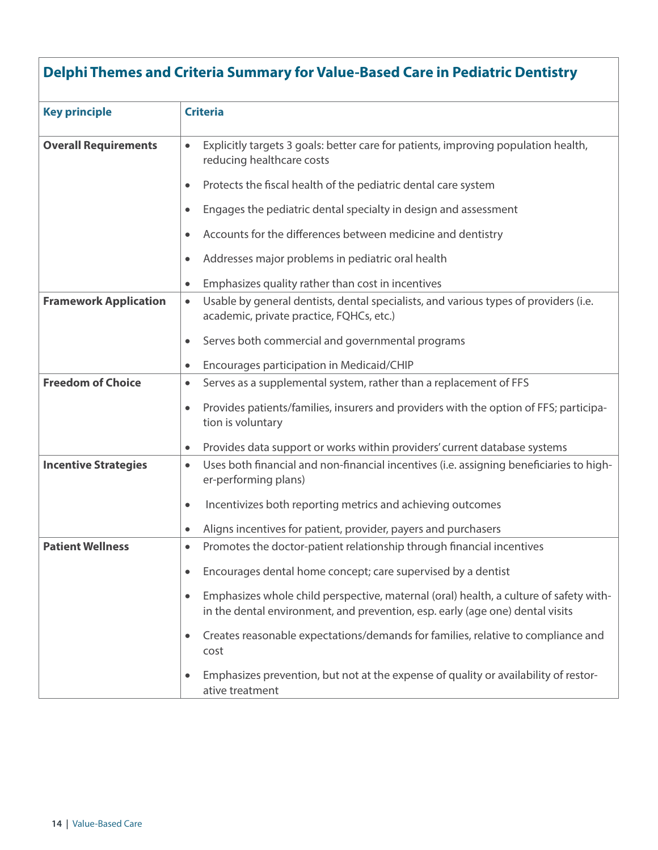# **Delphi Themes and Criteria Summary for Value-Based Care in Pediatric Dentistry Key principle Criteria Overall Requirements**  $\bullet$  Explicitly targets 3 goals: better care for patients, improving population health, reducing healthcare costs • Protects the fiscal health of the pediatric dental care system • Engages the pediatric dental specialty in design and assessment • Accounts for the differences between medicine and dentistry • Addresses major problems in pediatric oral health • Emphasizes quality rather than cost in incentives **Framework Application**  $\bullet$  Usable by general dentists, dental specialists, and various types of providers (i.e. academic, private practice, FQHCs, etc.) • Serves both commercial and governmental programs • Encourages participation in Medicaid/CHIP **Freedom of Choice**  $\cdot$  **Freedom of Choice FRS** • Provides patients/families, insurers and providers with the option of FFS; participation is voluntary • Provides data support or works within providers' current database systems **Incentive Strategies •** Uses both financial and non-financial incentives (i.e. assigning beneficiaries to higher-performing plans) • Incentivizes both reporting metrics and achieving outcomes • Aligns incentives for patient, provider, payers and purchasers **Patient Wellness •** Promotes the doctor-patient relationship through financial incentives • Encourages dental home concept; care supervised by a dentist • Emphasizes whole child perspective, maternal (oral) health, a culture of safety within the dental environment, and prevention, esp. early (age one) dental visits • Creates reasonable expectations/demands for families, relative to compliance and cost • Emphasizes prevention, but not at the expense of quality or availability of restor-

ative treatment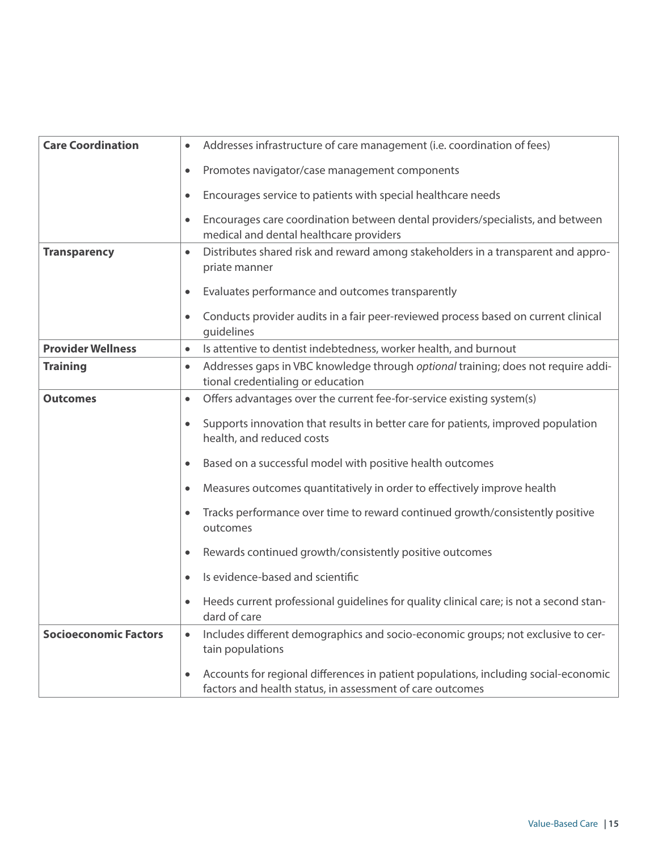| <b>Care Coordination</b>     | Addresses infrastructure of care management (i.e. coordination of fees)<br>$\bullet$                                                                          |
|------------------------------|---------------------------------------------------------------------------------------------------------------------------------------------------------------|
|                              | Promotes navigator/case management components<br>$\bullet$                                                                                                    |
|                              | Encourages service to patients with special healthcare needs<br>$\bullet$                                                                                     |
|                              | Encourages care coordination between dental providers/specialists, and between<br>$\bullet$<br>medical and dental healthcare providers                        |
| <b>Transparency</b>          | Distributes shared risk and reward among stakeholders in a transparent and appro-<br>$\bullet$<br>priate manner                                               |
|                              | Evaluates performance and outcomes transparently<br>$\bullet$                                                                                                 |
|                              | Conducts provider audits in a fair peer-reviewed process based on current clinical<br>$\bullet$<br>guidelines                                                 |
| <b>Provider Wellness</b>     | Is attentive to dentist indebtedness, worker health, and burnout<br>$\bullet$                                                                                 |
| <b>Training</b>              | Addresses gaps in VBC knowledge through optional training; does not require addi-<br>$\bullet$<br>tional credentialing or education                           |
| <b>Outcomes</b>              | Offers advantages over the current fee-for-service existing system(s)<br>$\bullet$                                                                            |
|                              | Supports innovation that results in better care for patients, improved population<br>$\bullet$<br>health, and reduced costs                                   |
|                              | Based on a successful model with positive health outcomes<br>$\bullet$                                                                                        |
|                              | Measures outcomes quantitatively in order to effectively improve health<br>$\bullet$                                                                          |
|                              | Tracks performance over time to reward continued growth/consistently positive<br>$\bullet$<br>outcomes                                                        |
|                              | Rewards continued growth/consistently positive outcomes<br>$\bullet$                                                                                          |
|                              | Is evidence-based and scientific<br>$\bullet$                                                                                                                 |
|                              | Heeds current professional guidelines for quality clinical care; is not a second stan-<br>dard of care                                                        |
| <b>Socioeconomic Factors</b> | Includes different demographics and socio-economic groups; not exclusive to cer-<br>$\bullet$<br>tain populations                                             |
|                              | Accounts for regional differences in patient populations, including social-economic<br>$\bullet$<br>factors and health status, in assessment of care outcomes |